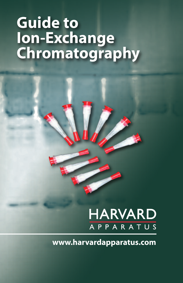# **Guide to Ion-Exchange Chromatography**

## **HARVARD** APPARATUS

**www.harvardapparatus.com**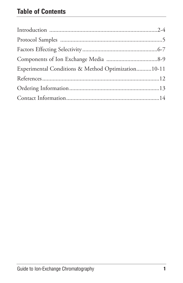| Experimental Conditions & Method Optimization10-11 |  |
|----------------------------------------------------|--|
|                                                    |  |
|                                                    |  |
|                                                    |  |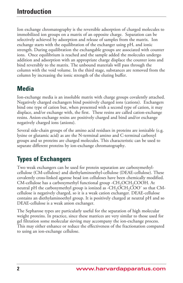Ion exchange chromatography is the reversible adsorption of charged molecules to immobilized ion groups on a matrix of an opposite charge. Separation can be selectively achieved by adsorption and release of samples from the matrix. Ion exchange starts with the equilibration of the exchanger using pH, and ionic strength. During equilibration the exchangable groups are associated with counter ions. Once equilibrium is reached and the sample added the molecules undergo addition and adsorption with an appropriate charge displace the counter ions and bind reversibly to the matrix. The unbound materials will pass through the column with the void volume. In the third stage, substances are removed from the column by increasing the ionic strength of the eluting buffer.

## **Media**

Ion-exchange media is an insoluble matrix with charge groups covalently attached. Negatively charged exchangers bind positively charged ions (cations). Exchangers bind one type of cation but, when presented with a second type of cation, it may displace, and/or exchange with, the first. These resins are called cation-exchange resins. Anion-exchange resins are positively charged and bind and/or exchange negatively charged ions (anions).

Several side-chain groups of the amino acid residues in proteins are ionizable (e.g. lysine or glutamic acid) as are the N-terminal amino and C-terminal carboxyl groups and so proteins are charged molecules. This characteristic can be used to separate different proteins by ion-exchange chromatography.

## **Types of Exchangers**

Two weak exchangers can be used for protein separation are carboxymethylcellulose (CM-cellulose) and diethylaminoethyl-cellulose (DEAE-cellulose). These covalently cross-linked agarose bead ion celluloses have been chemically modified.  $CM$ -cellulose has a carboxymethyl functional group  $-CH<sub>2</sub>OCH<sub>2</sub>COOH$ . At neutral pH the carboxymethyl group is ionized as -CH<sub>2</sub>OCH<sub>2</sub>COO<sup>-</sup> so that CMcellulose is negatively charged, so it is a weak cation exchanger. DEAE-cellulose contains an diethylaminoethyl group. It is positively charged at neutral pH and so DEAE-cellulose is a weak anion exchanger.

The Sepharose types are particularly useful for the separation of high molecular weight proteins. In practice, since these matrices are very similar to those used for gel filtration some molecular sieving may accompany the ion-exchange process. This may either enhance or reduce the effectiveness of the fractionation compared to using an ion-exchange cellulose.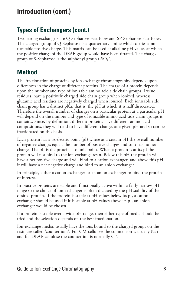## **Types of Exchangers (cont.)**

Two strong exchangers are Q-Sepharose Fast Flow and SP-Sepharose Fast Flow. The charged group of Q-Sepharose is a quarternary amine which carries a nontitratable positive charge. This matrix can be used at alkaline pH values at which the positive charge of the DEAE group would have been titrated. The charged group of S-Sepharose is the sulphonyl group  $(-SO_3^-)$ .

## **Method**

The fractionation of proteins by ion-exchange chromatography depends upon differences in the charge of different proteins. The charge of a protein depends upon the number and type of ionizable amino acid side chain groups. Lysine residues, have a positively charged side chain group when ionized, whereas glutamic acid residues are negatively charged when ionized. Each ionizable side chain group has a distinct pKa; that is, the pH at which it is half dissociated. Therefore the overall number of charges on a particular protein at a particular pH will depend on the number and type of ionizable amino acid side chain groups it contains. Since, by definition, different proteins have different amino acid compositions, they will tend to have different charges at a given pH and so can be fractionated on this basis.

Each protein has a isoelectric point (pI) where at a certain pH the overall number of negative charges equals the number of positive charges and so it has no net charge. The pI, is the proteins isoionic point. When a protein is at its pI the protein will not bind to the ion-exchange resin. Below this pH the protein will have a net positive charge and will bind to a cation exchanger, and above this pH it will have a net negative charge and bind to an anion exchanger.

In principle, either a cation exchanger or an anion exchanger to bind the protein of interest.

In practice proteins are stable and functionally active within a fairly narrow pH range so the choice of ion exchanger is often dictated by the pH stability of the desired protein. If the protein is stable at pH values below its pI, a cation exchanger should be used if it is stable at pH values above its pI, an anion exchanger would be chosen.

If a protein is stable over a wide pH range, then either type of media should be tried and the selection depends on the best fractionation.

Ion-exchange media, usually have the ions bound to the charged groups on the resin are called 'counter ions'. For CM-cellulose the counter ion is usually Na+ and for DEAE-cellulose the counter ion is normally Cl¯.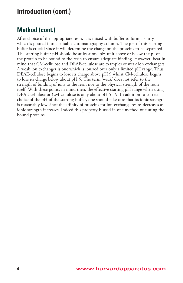## **Method (cont.)**

After choice of the appropriate resin, it is mixed with buffer to form a slurry which is poured into a suitable chromatography column. The pH of this starting buffer is crucial since it will determine the charge on the proteins to be separated. The starting buffer pH should be at least one pH unit above or below the pI of the protein to be bound to the resin to ensure adequate binding. However, bear in mind that CM-cellulose and DEAE-cellulose are examples of weak ion exchangers. A weak ion exchanger is one which is ionized over only a limited pH range. Thus DEAE-cellulose begins to lose its charge above pH 9 whilst CM-cellulose begins to lose its charge below about pH 5. The term 'weak' does not refer to the strength of binding of ions to the resin nor to the physical strength of the resin itself. With these points in mind then, the effective starting pH range when using DEAE-cellulose or CM-cellulose is only about pH 5 - 9. In addition to correct choice of the pH of the starting buffer, one should take care that its ionic strength is reasonably low since the affinity of proteins for ion-exchange resins decreases as ionic strength increases. Indeed this property is used in one method of eluting the bound proteins.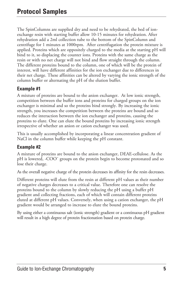The SpinColumns are supplied dry and need to be rehydrated, the bed of ionexchange resin with starting buffer allow 10-15 minutes for rehydration. After rehydration add a 2ml collection tube to the bottom of the SpinColumn and centrifuge for 1 minutes at 1000rpm. After centrifugation the protein mixture is applied. Proteins which are oppositely charged to the media at the starting pH will bind to it, so displacing the counter ions. Proteins with the same charge as the resin or with no net charge will not bind and flow straight through the column. The different proteins bound to the column, one of which will be the protein of interest, will have different affinities for the ion exchanger due to differences in their net charge. These affinities can be altered by varying the ionic strength of the column buffer or alternating the pH of the elution buffer.

#### **Example #1**

A mixture of proteins are bound to the anion exchanger. At low ionic strength, competition between the buffer ions and proteins for charged groups on the ion exchanger is minimal and so the proteins bind strongly. By increasing the ionic strength, you increases the competition between the proteins are bound and so reduces the interaction between the ion exchanger and proteins, causing the proteins to elute. One can elute the bound proteins by increasing ionic strength irrespective of whether an anion or cation exchanger was used.

This is usually accomplished by incorporating a linear concentration gradient of NaCl in the column buffer while keeping the pH constant.

#### **Example #2**

A mixture of proteins are bound to the anion exchanger, DEAE-cellulose. As the pH is lowered, -COO<sup>-</sup> groups on the protein begin to become protonated and so lose their charge.

As the overall negative charge of the protein decreases its affinity for the resin decreases.

Different proteins will elute from the resin at different pH values as their number of negative charges decreases to a critical value. Therefore one can resolve the proteins bound to the column by slowly reducing the pH using a buffer pH gradient and collecting fractions, each of which will contain different proteins eluted at different pH values. Conversely, when using a cation exchanger, the pH gradient would be arranged to increase to elute the bound proteins.

By using either a continuous salt (ionic strength) gradient or a continuous pH gradient will result in a high degree of protein fractionation based on protein charge.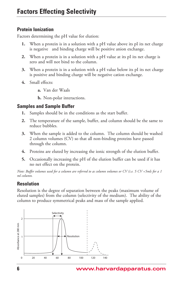#### **Protein Ionization**

Factors determining the pH value for elution:

- **1.** When a protein is in a solution with a pH value above its pI its net charge is negative and binding charge will be positive anion exchange.
- **2.** When a protein is in a solution with a pH value at its pI its net charge is zero and will not bind to the column.
- **3.** When a protein is in a solution with a pH value below its pI its net charge is positive and binding charge will be negative cation exchange.
- **4.** Small effects:
	- **a.** Van der Waals

**b.** Non-polar interactions.

#### **Samples and Sample Buffer**

- **1.** Samples should be in the conditions as the start buffer.
- **2.** The temperature of the sample, buffer, and column should be the same to reduce bubbles.
- **3.** When the sample is added to the column. The column should be washed 2 column volumes (CV) so that all non-binding proteins have passed through the column.
- **4.** Proteins are eluted by increasing the ionic strength of the elution buffer.
- **5.** Occasionally increasing the pH of the elution buffer can be used if it has no net effect on the protein.

Note: Buffer volumes used for a column are referred to as column volumes or CV (i.e.  $5CV = 5m/s$  for a 1 *ml column.*

#### **Resolution**

Resolution is the degree of separation between the peaks (maximum volume of eluted samples) from the column (selectivity of the medium). The ability of the column to produce symmetrical peaks and mass of the sample applied.

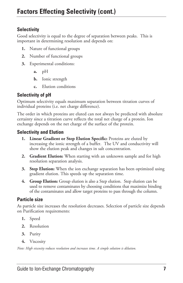#### **Selectivity**

Good selectivity is equal to the degree of separation between peaks. This is important in determining resolution and depends on:

- **1.** Nature of functional groups
- **2.** Number of functional groups
- **3.** Experimental conditions:
	- **a.** pH
	- **b.** Ionic strength
	- **c.** Elution conditions

#### **Selectivity of pH**

Optimum selectivity equals maximum separation between titration curves of individual proteins (i.e. net charge difference).

The order in which proteins are eluted can not always be predicted with absolute certainty since a titration curve reflects the total net charge of a protein. Ion exchange depends on the net charge of the surface of the protein.

#### **Selectivity and Elution**

- **1. Linear Gradient or Step Elution Specific:** Proteins are eluted by increasing the ionic strength of a buffer. The UV and conductivity will show the elution peak and changes in salt concentration.
- **2. Gradient Elution:** When starting with an unknown sample and for high resolution separation analysis.
- **3. Step Elution:** When the ion exchange separation has been optimized using gradient elution. This speeds up the separation time.
- **4. Group Elution:** Group elution is also a Step elution. Step elution can be used to remove contaminates by choosing conditions that maximize binding of the contaminates and allow target proteins to pass through the column.

#### **Particle size**

As particle size increases the resolution decreases. Selection of particle size depends on Purification requirements:

- **1.** Speed
- **2.** Resolution
- **3.** Purity
- **4.** Viscosity

*Note: High viscosity reduces resolution and increases time. A simple solution is dilution.*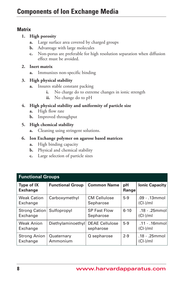#### **Matrix**

#### **1. High porosity**

- **a.** Large surface area covered by charged groups
- **b.** Advantage with large molecules
- **c.** Non-porus are preferable for high resolution separation when diffusion effect must be avoided.

#### **2. Inert matrix**

**a.** Immunizes non-specific binding

#### **3. High physical stability**

- **a.** Insures stable constant packing
	- **i.** No charge do to extreme changes in ionic strength
	- **ii.** No change do to pH
- **4. High physical stability and uniformity of particle size**
	- **a.** High flow rate
	- **b.** Improved throughput

#### **5. High chemical stability**

**a.** Cleaning using stringent solutions.

#### **6. Ion Exchange polymer on agarose based matrices**

- **a.** High binding capacity
- **b.** Physical and chemical stability
- **c.** Large selection of particle sizes

| <b>Functional Groups</b>         |                         |                                    |             |                                  |
|----------------------------------|-------------------------|------------------------------------|-------------|----------------------------------|
| Type of IX<br><b>Exchange</b>    | <b>Functional Group</b> | <b>Common Name</b>                 | pH<br>Range | <b>Ionic Capacity</b>            |
| <b>Weak Cation</b><br>Exchange   | Carboxymethyl           | <b>CM Cellulose</b><br>Sepharose   | $5-9$       | $.09 - .13$ mmol<br>$(Cl-)$ /ml  |
| <b>Strong Cation</b><br>Exchange | Sulfopropyl             | <b>SP Fast Flow</b><br>Sepharose   | $6 - 10$    | $.18 - .25$ mmoll<br>$(Cl-)$ /ml |
| <b>Weak Anion</b><br>Exchange    | Diethylaminoethyl       | <b>DEAE Cellulose</b><br>sepharose | $5-9$       | $.11 - .16$ mmoll<br>$(Cl-)$ /ml |
| <b>Strong Anion</b><br>Exchange  | Quaternary<br>Ammonium  | Q sepharose                        | $2 - 9$     | .18 - .25mmol<br>$(Cl-)$ /ml     |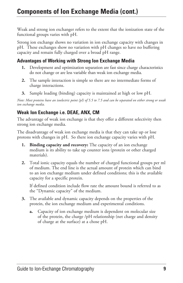Weak and strong ion exchanger refers to the extent that the ionization state of the functional groups varies with pH.

Strong ion exchange shows no variation in ion exchange capacity with changes in pH. These exchanges show no variation with pH changes so have no buffering capacity and remain fully charged over a broad pH range.

#### **Advantages of Working with Strong Ion Exchange Media**

- **1.** Development and optimization separation are fast since charge characteristics do not change or are less variable than weak ion exchange media.
- **2.** The sample interaction is simple so there are no intermediate forms of charge interactions.
- **3.** Sample loading (binding) capacity is maintained at high or low pH.

Note: Most proteins have an isoelectric point (pI) of 5.5 to 7.5 and can be separated on either strong or weak *ion exchange media.*

#### **Weak Ion Exchange i.e. DEAE, ANX, CM**

The advantage of weak ion exchange is that they offer a different selectivity then strong ion exchange media.

The disadvantage of weak ion exchange media is that they can take up or lose protons with changes in pH. So there ion exchange capacity varies with pH.

- **1. Binding capacity and recovery:** The capacity of an ion exchange medium is its ability to take up counter ions (protein or other charged materials).
- **2.** Total ionic capacity equals the number of charged functional groups per ml of medium. The end line is the actual amount of protein which can bind to an ion exchange medium under defined conditions; this is the available capacity for a specific protein.

If defined condition include flow rate the amount bound is referred to as the "Dynamic capacity" of the medium.

- **3.** The available and dynamic capacity depends on the properties of the protein, the ion exchange medium and experimental conditions.
	- **a.** Capacity of ion exchange medium is dependent on molecular size of the protein, the charge /pH relationship (net charge and density of charge at the surface) at a chose pH.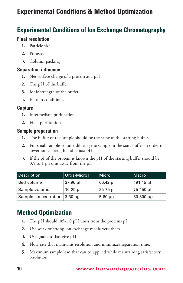### **Experimental Conditions of Ion Exchange Chromatography**

#### **Final resolution**

- **1.** Particle size
- **2.** Porosity
- **3.** Column packing

#### **Separation influence**

- **1.** Net surface charge of a protein at a pH
- **2.** The pH of the buffer
- **3.** Ionic strength of the buffer
- **4.** Elution conditions.

#### **Capture**

- **1.** Intermediate purification
- **2.** Final purification

#### **Sample preparation**

- **1.** The buffer of the sample should be the same as the starting buffer.
- **2.** For small sample volume diluting the sample in the start buffer in order to lower ionic strength and adjust pH
- **3.** If the pI of the protein is known the pH of the starting buffer should be 0.5 to 1 ph unit away from the pI.

| Description                         | Ultra-Micro1 | <b>Micro</b> | Macro          |
|-------------------------------------|--------------|--------------|----------------|
| Bed volume                          | 37.96 µl     | $66.42$ µ    | 191.45 µl      |
| Sample volume                       | $10-25$ µ    | $25 - 75$ µ  | 75-150 µl      |
| Sample concentration $ 3-30 \mu g $ |              | $5-60 \mu$ g | $30-300 \mu q$ |

## **Method Optimization**

- **1.** The pH should .05-1.0 pH units from the proteins pI
- **2.** Use weak or strong ion exchange media very them
- **3.** Use gradient that give pH
- **4.** Flow rate that maintains resolution and minimizes separation time.
- **5.** Maximum sample lead that can be applied while maintaining satisfactory resolution.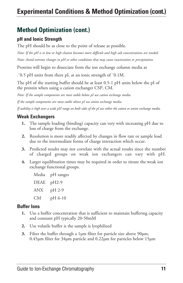## **Method Optimization (cont.)**

#### **pH and Ionic Strength**

The pH should be as close to the point of release as possible.

Note: If the pH is to low or high elution becomes more difficult and high salt concentrations are needed.

*Note: Avoid extreme changes in pH or other conditions that may cause inactivation or precipitation.*

Proteins will begin to dissociate from the ion exchange column media at

.˜0.5 pH units from there pI, at an ionic strength of ˜0.1M.

The pH of the starting buffer should be at least 0.5-1 pH units below the pI of the protein when using a cation exchanger CSP, CM.

*Note: If the sample components are most stable below pI use cation exchange media.*

*If the sample components are most stable above pI use anion exchange media.*

If stability is high over a wide pH range on both sides of the pI use either the cation or anion exchange media.

#### **Weak Exchangers**

- **1.** The sample loading (binding) capacity can very with increasing pH due to loss of charge from the exchange.
- **2.** Resolution is more readily affected by changes in flow rate or sample load due to the intermediate forms of charge interaction which occur.
- **3.** Predicted results may not correlate with the actual results since the number of charged groups on weak ion exchangers can vary with pH.
- **4.** Larger equilibration times may be required in order to titrate the weak ion exchange functional groups.
	- Media pH ranges DEAE pH2-9  $ANX$  pH 2-9 CM pH 6-10

#### **Buffer Ions**

- **1.** Use a buffer concentration that is sufficient to maintain buffering capacity and constant pH typically 20-50mM
- **2.** Use volatile buffer is the sample is lyophilized
- **3.** Filter the buffer through a 1µm filter for particle size above 90µm, 0.45µm filter for 34µm particle and 0.22µm for particles below 15µm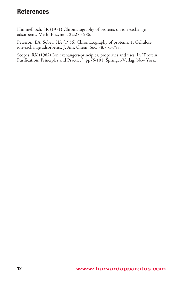Himmelhoch, SR (1971) Chromatography of proteins on ion-exchange adsorbents. Meth. Enzymol. 22:273-286.

Peterson, EA, Sober, HA (1956) Chromatography of proteins. 1. Cellulose ion-exchange adsorbents. J. Am. Chem. Soc. 78:751-758.

Scopes, RK (1982) Ion exchangers-principles, properties and uses. In "Protein Purification: Principles and Practice", pp75-101. Springer-Verlag, New York.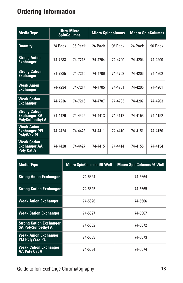| <b>Media Type</b>                                                      |         | <b>Ultra-Micro</b><br><b>SpinColumns</b> | <b>Micro Spincolumns</b> |         | <b>Macro SpinColumns</b> |         |
|------------------------------------------------------------------------|---------|------------------------------------------|--------------------------|---------|--------------------------|---------|
| <b>Quantity</b>                                                        | 24 Pack | 96 Pack                                  | 24 Pack                  | 96 Pack | 24 Pack                  | 96 Pack |
| <b>Strong Anion</b><br><b>Exchanger</b>                                | 74-7233 | 74-7213                                  | 74-4704                  | 74-4700 | 74-4204                  | 74-4200 |
| <b>Strong Cation</b><br><b>Exchanger</b>                               | 74-7235 | 74-7215                                  | 74-4706                  | 74-4702 | 74-4206                  | 74-4202 |
| <b>Weak Anion</b><br><b>Exchanger</b>                                  | 74-7234 | 74-7214                                  | 74-4705                  | 74-4701 | 74-4205                  | 74-4201 |
| <b>Weak Cation</b><br><b>Exchanger</b>                                 | 74-7236 | 74-7216                                  | 74-4707                  | 74-4703 | 74-4207                  | 74-4203 |
| <b>Strong Cation</b><br><b>Exchanger SA</b><br><b>PolySulfoethyl A</b> | 74-4426 | 74-4425                                  | 74-4413                  | 74-4112 | 74-4153                  | 74-4152 |
| <b>Weak Anion</b><br><b>Exchanger PEI</b><br><b>PolyWax PL</b>         | 74-4424 | 74-4423                                  | 74-4411                  | 74-4410 | 74-4151                  | 74-4150 |
| <b>Weak Cation</b><br><b>Exchanger AA</b><br><b>Poly Cat A</b>         | 74-4428 | 74-4427                                  | 74-4415                  | 74-4414 | 74-4155                  | 74-4154 |

| <b>Media Type</b>                                            | <b>Micro SpinColumns 96-Well</b> | <b>Macro SpinColumns 96-Well</b> |
|--------------------------------------------------------------|----------------------------------|----------------------------------|
| <b>Strong Anion Exchanger</b>                                | 74-5624                          | 74-5664                          |
| <b>Strong Cation Exchanger</b>                               | 74-5625                          | 74-5665                          |
| <b>Weak Anion Exchanger</b>                                  | 74-5626                          | 74-5666                          |
| <b>Weak Cation Exchanger</b>                                 | 74-5627                          | 74-5667                          |
| <b>Strong Cation Exchanger</b><br><b>SA PolySulfoethyl A</b> | 74-5632                          | 74-5672                          |
| <b>Weak Anion Exchanger</b><br><b>PEI PolyWax PL</b>         | 74-5633                          | 74-5673                          |
| <b>Weak Cation Exchanger</b><br><b>AA Poly Cat A</b>         | 74-5634                          | 74-5674                          |